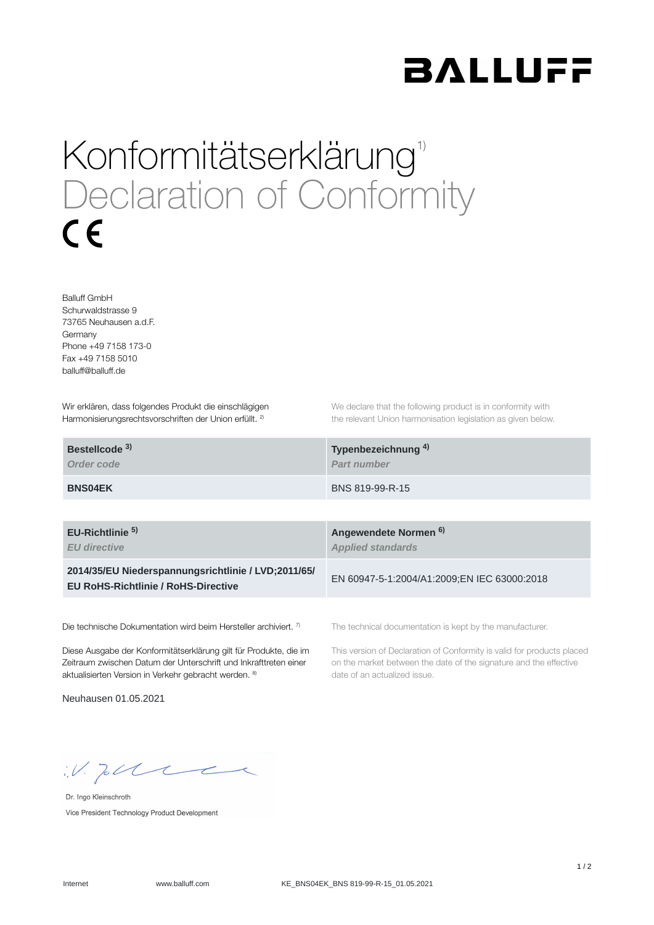

## Konformitätserklärung<sup>1)</sup> Declaration of Conformity  $\epsilon$

Balluff GmbH Schurwaldstrasse 9 73765 Neuhausen a.d.F. Germany Phone +49 7158 173-0 Fax +49 7158 5010 balluff@balluff.de

Wir erklären, dass folgendes Produkt die einschlägigen Harmonisierungsrechtsvorschriften der Union erfüllt. <sup>2)</sup>

We declare that the following product is in conformity with the relevant Union harmonisation legislation as given below.

| Bestellcode <sup>3)</sup> | Typenbezeichnung <sup>4)</sup> |
|---------------------------|--------------------------------|
| Order code                | <b>Part number</b>             |
| <b>BNS04EK</b>            | BNS 819-99-R-15                |

**EU-Richtlinie** 

*EU directive*

**2014/35/EU Niederspannungsrichtlinie / LVD;2011/65/ EU RoHS-Richtlinie / RoHS-Directive**

Die technische Dokumentation wird beim Hersteller archiviert. 7)

Diese Ausgabe der Konformitätserklärung gilt für Produkte, die im Zeitraum zwischen Datum der Unterschrift und Inkrafttreten einer aktualisierten Version in Verkehr gebracht werden. 8)

Neuhausen 01.05.2021

**Angewendete Normen 5) 6)***Applied standards*

EN 60947-5-1:2004/A1:2009;EN IEC 63000:2018

The technical documentation is kept by the manufacturer.

This version of Declaration of Conformity is valid for products placed on the market between the date of the signature and the effective date of an actualized issue.

 $W.$  Jobble

Dr. Ingo Kleinschroth Vice President Technology Product Development